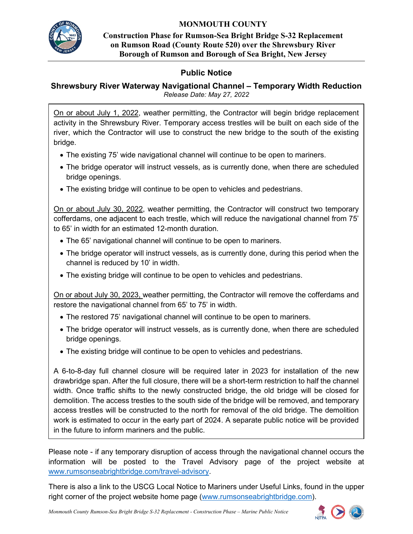

## **MONMOUTH COUNTY**

**Construction Phase for Rumson-Sea Bright Bridge S-32 Replacement on Rumson Road (County Route 520) over the Shrewsbury River Borough of Rumson and Borough of Sea Bright, New Jersey**

## **Public Notice**

## **Shrewsbury River Waterway Navigational Channel – Temporary Width Reduction** *Release Date: May 27, 2022*

On or about July 1, 2022, weather permitting, the Contractor will begin bridge replacement activity in the Shrewsbury River. Temporary access trestles will be built on each side of the river, which the Contractor will use to construct the new bridge to the south of the existing bridge.

- The existing 75' wide navigational channel will continue to be open to mariners.
- The bridge operator will instruct vessels, as is currently done, when there are scheduled bridge openings.
- The existing bridge will continue to be open to vehicles and pedestrians.

On or about July 30, 2022, weather permitting, the Contractor will construct two temporary cofferdams, one adjacent to each trestle, which will reduce the navigational channel from 75' to 65' in width for an estimated 12-month duration.

- The 65' navigational channel will continue to be open to mariners.
- The bridge operator will instruct vessels, as is currently done, during this period when the channel is reduced by 10' in width.
- The existing bridge will continue to be open to vehicles and pedestrians.

On or about July 30, 2023, weather permitting, the Contractor will remove the cofferdams and restore the navigational channel from 65' to 75' in width.

- The restored 75' navigational channel will continue to be open to mariners.
- The bridge operator will instruct vessels, as is currently done, when there are scheduled bridge openings.
- The existing bridge will continue to be open to vehicles and pedestrians.

A 6-to-8-day full channel closure will be required later in 2023 for installation of the new drawbridge span. After the full closure, there will be a short-term restriction to half the channel width. Once traffic shifts to the newly constructed bridge, the old bridge will be closed for demolition. The access trestles to the south side of the bridge will be removed, and temporary access trestles will be constructed to the north for removal of the old bridge. The demolition work is estimated to occur in the early part of 2024. A separate public notice will be provided in the future to inform mariners and the public.

Please note - if any temporary disruption of access through the navigational channel occurs the information will be posted to the Travel Advisory page of the project website at www.rumsonseabrightbridge.com/travel-advisory.

There is also a link to the USCG Local Notice to Mariners under Useful Links, found in the upper right corner of the project website home page (www.rumsonseabrightbridge.com).